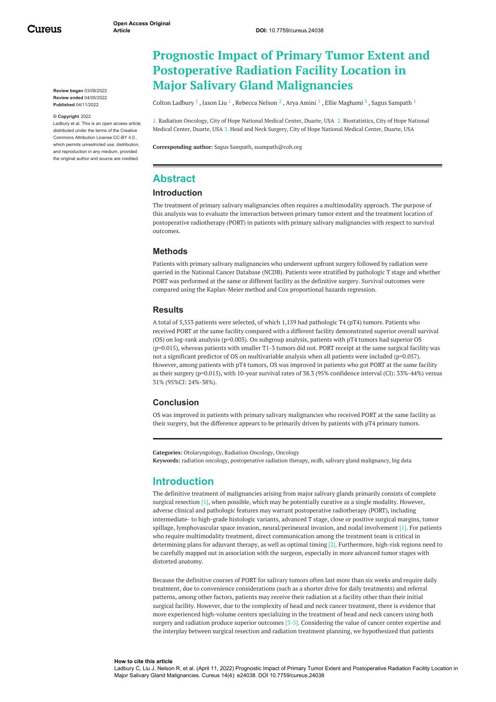**Review began** 03/08/2022 **Review ended** 04/05/2022 **Published** 04/11/2022

#### **© Copyright** 2022

Ladbury et al. This is an open access article distributed under the terms of the Creative Commons Attribution License CC-BY 4.0., which permits unrestricted use, distribution, and reproduction in any medium, provided the original author and source are credited.

# **Prognostic Impact of Primary Tumor Extent and Postoperative Radiation Facility Location in Major Salivary Gland Malignancies**

Colton [Ladbury](https://www.cureus.com/users/305172-colton-ladbury)  $^1$  , [Jason](https://www.cureus.com/users/343103-jason-liu) Liu  $^1$  , [Rebecca](https://www.cureus.com/users/343104-rebecca-nelson) Nelson  $^2$  , Arya [Amini](https://www.cureus.com/users/111830-arya-amini)  $^1$  , Ellie [Maghami](https://www.cureus.com/users/343106-ellie-maghami)  $^3$  , Sagus [Sampath](https://www.cureus.com/users/213069-sagus-sampath)  $^1$ 

1. Radiation Oncology, City of Hope National Medical Center, Duarte, USA 2. Biostatistics, City of Hope National Medical Center, Duarte, USA 3. Head and Neck Surgery, City of Hope National Medical Center, Duarte, USA

**Corresponding author:** Sagus Sampath, ssampath@coh.org

# **Abstract**

#### **Introduction**

The treatment of primary salivary malignancies often requires a multimodality approach. The purpose of this analysis was to evaluate the interaction between primary tumor extent and the treatment location of postoperative radiotherapy (PORT) in patients with primary salivary malignancies with respect to survival outcomes.

### **Methods**

Patients with primary salivary malignancies who underwent upfront surgery followed by radiation were queried in the National Cancer Database (NCDB). Patients were stratified by pathologic T stage and whether PORT was performed at the same or different facility as the definitive surgery. Survival outcomes were compared using the Kaplan-Meier method and Cox proportional hazards regression.

#### **Results**

A total of 5,553 patients were selected, of which 1,159 had pathologic T4 (pT4) tumors. Patients who received PORT at the same facility compared with a different facility demonstrated superior overall survival (OS) on log-rank analysis (p=0.003). On subgroup analysis, patients with pT4 tumors had superior OS (p=0.015), whereas patients with smaller T1-3 tumors did not. PORT receipt at the same surgical facility was not a significant predictor of OS on multivariable analysis when all patients were included (p=0.057). However, among patients with pT4 tumors, OS was improved in patients who got PORT at the same facility as their surgery (p=0.015), with 10-year survival rates of 38.3 (95% confidence interval (CI): 33%-44%) versus 31% (95%CI: 24%-38%).

#### **Conclusion**

OS was improved in patients with primary salivary malignancies who received PORT at the same facility as their surgery, but the difference appears to be primarily driven by patients with pT4 primary tumors.

**Categories:** Otolaryngology, Radiation Oncology, Oncology **Keywords:** radiation oncology, postoperative radiation therapy, ncdb, salivary gland malignancy, big data

### **Introduction**

The definitive treatment of malignancies arising from major salivary glands primarily consists of complete surgical resection [1], when possible, which may be potentially curative as a single modality. However, adverse clinical and pathologic features may warrant postoperative radiotherapy (PORT), including intermediate- to high-grade histologic variants, advanced T stage, close or positive surgical margins, tumor spillage, lymphovascular space invasion, neural/perineural invasion, and nodal involvement [1]. For patients who require multimodality treatment, direct communication among the treatment team is critical in determining plans for adjuvant therapy, as well as optimal timing [2]. Furthermore, high-risk regions need to be carefully mapped out in association with the surgeon, especially in more advanced tumor stages with distorted anatomy.

Because the definitive courses of PORT for salivary tumors often last more than six weeks and require daily treatment, due to convenience considerations (such as a shorter drive for daily treatments) and referral patterns, among other factors, patients may receive their radiation at a facility other than their initial surgical facility. However, due to the complexity of head and neck cancer treatment, there is evidence that more experienced high-volume centers specializing in the treatment of head and neck cancers using both surgery and radiation produce superior outcomes [3-5]. Considering the value of cancer center expertise and the interplay between surgical resection and radiation treatment planning, we hypothesized that patients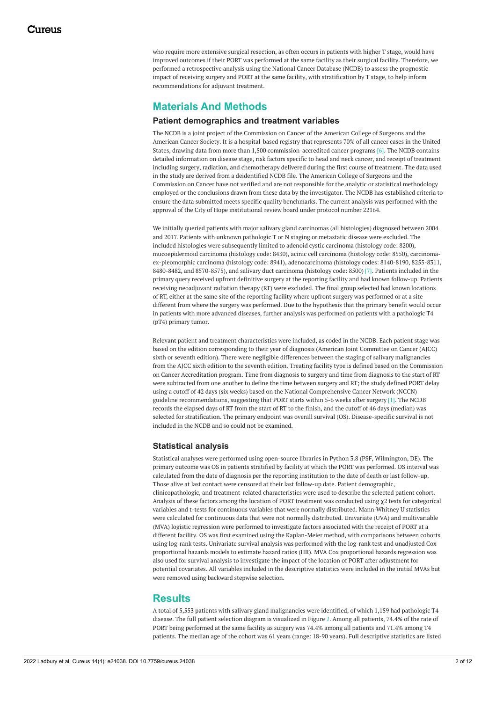who require more extensive surgical resection, as often occurs in patients with higher T stage, would have improved outcomes if their PORT was performed at the same facility as their surgical facility. Therefore, we performed a retrospective analysis using the National Cancer Database (NCDB) to assess the prognostic impact of receiving surgery and PORT at the same facility, with stratification by T stage, to help inform recommendations for adjuvant treatment.

# **Materials And Methods**

### **Patient demographics and treatment variables**

The NCDB is a joint project of the Commission on Cancer of the American College of Surgeons and the American Cancer Society. It is a hospital-based registry that represents 70% of all cancer cases in the United States, drawing data from more than 1,500 commission-accredited cancer programs [6]. The NCDB contains detailed information on disease stage, risk factors specific to head and neck cancer, and receipt of treatment including surgery, radiation, and chemotherapy delivered during the first course of treatment. The data used in the study are derived from a deidentified NCDB file. The American College of Surgeons and the Commission on Cancer have not verified and are not responsible for the analytic or statistical methodology employed or the conclusions drawn from these data by the investigator. The NCDB has established criteria to ensure the data submitted meets specific quality benchmarks. The current analysis was performed with the approval of the City of Hope institutional review board under protocol number 22164.

We initially queried patients with major salivary gland carcinomas (all histologies) diagnosed between 2004 and 2017. Patients with unknown pathologic T or N staging or metastatic disease were excluded. The included histologies were subsequently limited to adenoid cystic carcinoma (histology code: 8200), mucoepidermoid carcinoma (histology code: 8430), acinic cell carcinoma (histology code: 8550), carcinomaex-pleomorphic carcinoma (histology code: 8941), adenocarcinoma (histology codes: 8140-8190, 8255-8311, 8480-8482, and 8570-8575), and salivary duct carcinoma (histology code: 8500) [7]. Patients included in the primary query received upfront definitive surgery at the reporting facility and had known follow-up. Patients receiving neoadjuvant radiation therapy (RT) were excluded. The final group selected had known locations of RT, either at the same site of the reporting facility where upfront surgery was performed or at a site different from where the surgery was performed. Due to the hypothesis that the primary benefit would occur in patients with more advanced diseases, further analysis was performed on patients with a pathologic T4 (pT4) primary tumor.

Relevant patient and treatment characteristics were included, as coded in the NCDB. Each patient stage was based on the edition corresponding to their year of diagnosis (American Joint Committee on Cancer (AJCC) sixth or seventh edition). There were negligible differences between the staging of salivary malignancies from the AJCC sixth edition to the seventh edition. Treating facility type is defined based on the Commission on Cancer Accreditation program. Time from diagnosis to surgery and time from diagnosis to the start of RT were subtracted from one another to define the time between surgery and RT; the study defined PORT delay using a cutoff of 42 days (six weeks) based on the National Comprehensive Cancer Network (NCCN) guideline recommendations, suggesting that PORT starts within 5-6 weeks after surgery [1]. The NCDB records the elapsed days of RT from the start of RT to the finish, and the cutoff of 46 days (median) was selected for stratification. The primary endpoint was overall survival (OS). Disease-specific survival is not included in the NCDB and so could not be examined.

### **Statistical analysis**

Statistical analyses were performed using open-source libraries in Python 3.8 (PSF, Wilmington, DE). The primary outcome was OS in patients stratified by facility at which the PORT was performed. OS interval was calculated from the date of diagnosis per the reporting institution to the date of death or last follow-up. Those alive at last contact were censored at their last follow-up date. Patient demographic, clinicopathologic, and treatment-related characteristics were used to describe the selected patient cohort. Analysis of these factors among the location of PORT treatment was conducted using χ2 tests for categorical variables and t-tests for continuous variables that were normally distributed. Mann-Whitney U statistics were calculated for continuous data that were not normally distributed. Univariate (UVA) and multivariable (MVA) logistic regression were performed to investigate factors associated with the receipt of PORT at a different facility. OS was first examined using the Kaplan-Meier method, with comparisons between cohorts using log-rank tests. Univariate survival analysis was performed with the log-rank test and unadjusted Cox proportional hazards models to estimate hazard ratios (HR). MVA Cox proportional hazards regression was also used for survival analysis to investigate the impact of the location of PORT after adjustment for potential covariates. All variables included in the descriptive statistics were included in the initial MVAs but were removed using backward stepwise selection.

### **Results**

A total of 5,553 patients with salivary gland malignancies were identified, of which 1,159 had pathologic T4 disease. The full patient selection diagram is visualized in Figure *[1](#page-2-0)*. Among all patients, 74.4% of the rate of PORT being performed at the same facility as surgery was 74.4% among all patients and 71.4% among T4 patients. The median age of the cohort was 61 years (range: 18-90 years). Full descriptive statistics are listed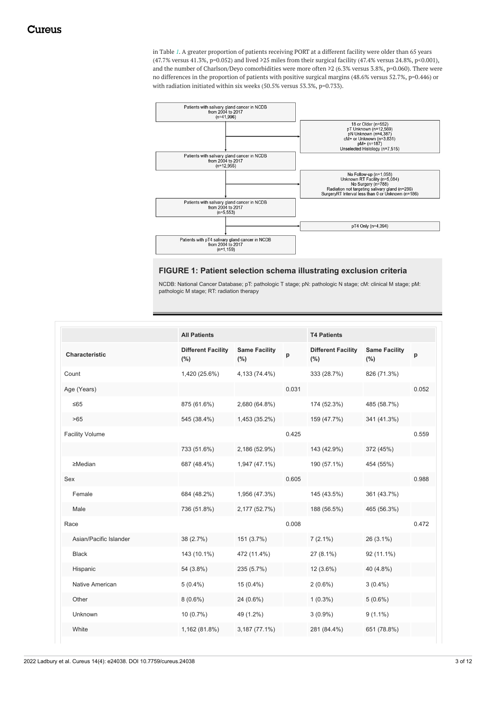in Table *[1](#page-3-0)*. A greater proportion of patients receiving PORT at a different facility were older than 65 years (47.7% versus 41.3%, p=0.052) and lived ≥25 miles from their surgical facility (47.4% versus 24.8%, p<0.001), and the number of Charlson/Deyo comorbidities were more often ≥2 (6.3% versus 3.8%, p=0.060). There were no differences in the proportion of patients with positive surgical margins (48.6% versus 52.7%, p=0.446) or with radiation initiated within six weeks (50.5% versus 53.3%, p=0.733).

<span id="page-2-0"></span>

### **FIGURE 1: Patient selection schema illustrating exclusion criteria**

NCDB: National Cancer Database; pT: pathologic T stage; pN: pathologic N stage; cM: clinical M stage; pM: pathologic M stage; RT: radiation therapy

|                        | <b>All Patients</b>              |                                 |       |                                      | <b>T4 Patients</b>              |       |  |  |
|------------------------|----------------------------------|---------------------------------|-------|--------------------------------------|---------------------------------|-------|--|--|
| Characteristic         | <b>Different Facility</b><br>(%) | <b>Same Facility</b><br>$(\% )$ | p     | <b>Different Facility</b><br>$(\% )$ | <b>Same Facility</b><br>$(\% )$ | p     |  |  |
| Count                  | 1,420 (25.6%)                    | 4,133 (74.4%)                   |       | 333 (28.7%)                          | 826 (71.3%)                     |       |  |  |
| Age (Years)            |                                  |                                 | 0.031 |                                      |                                 | 0.052 |  |  |
| $≤65$                  | 875 (61.6%)                      | 2,680 (64.8%)                   |       | 174 (52.3%)                          | 485 (58.7%)                     |       |  |  |
| >65                    | 545 (38.4%)                      | 1,453 (35.2%)                   |       | 159 (47.7%)                          | 341 (41.3%)                     |       |  |  |
| <b>Facility Volume</b> |                                  |                                 | 0.425 |                                      |                                 | 0.559 |  |  |
|                        | 733 (51.6%)                      | 2,186 (52.9%)                   |       | 143 (42.9%)                          | 372 (45%)                       |       |  |  |
| $\geq$ Median          | 687 (48.4%)                      | 1,947 (47.1%)                   |       | 190 (57.1%)                          | 454 (55%)                       |       |  |  |
| Sex                    |                                  |                                 | 0.605 |                                      |                                 | 0.988 |  |  |
| Female                 | 684 (48.2%)                      | 1,956 (47.3%)                   |       | 145 (43.5%)                          | 361 (43.7%)                     |       |  |  |
| Male                   | 736 (51.8%)                      | 2,177 (52.7%)                   |       | 188 (56.5%)                          | 465 (56.3%)                     |       |  |  |
| Race                   |                                  |                                 | 0.008 |                                      |                                 | 0.472 |  |  |
| Asian/Pacific Islander | 38 (2.7%)                        | 151 (3.7%)                      |       | $7(2.1\%)$                           | 26 (3.1%)                       |       |  |  |
| <b>Black</b>           | 143 (10.1%)                      | 472 (11.4%)                     |       | $27(8.1\%)$                          | 92 (11.1%)                      |       |  |  |
| Hispanic               | 54 (3.8%)                        | 235 (5.7%)                      |       | $12(3.6\%)$                          | 40 (4.8%)                       |       |  |  |
| Native American        | $5(0.4\%)$                       | $15(0.4\%)$                     |       | $2(0.6\%)$                           | $3(0.4\%)$                      |       |  |  |
| Other                  | $8(0.6\%)$                       | $24(0.6\%)$                     |       | $1(0.3\%)$                           | $5(0.6\%)$                      |       |  |  |
| Unknown                | $10(0.7\%)$                      | 49 (1.2%)                       |       | $3(0.9\%)$                           | $9(1.1\%)$                      |       |  |  |
| White                  | 1,162 (81.8%)                    | 3,187 (77.1%)                   |       | 281 (84.4%)                          | 651 (78.8%)                     |       |  |  |
|                        |                                  |                                 |       |                                      |                                 |       |  |  |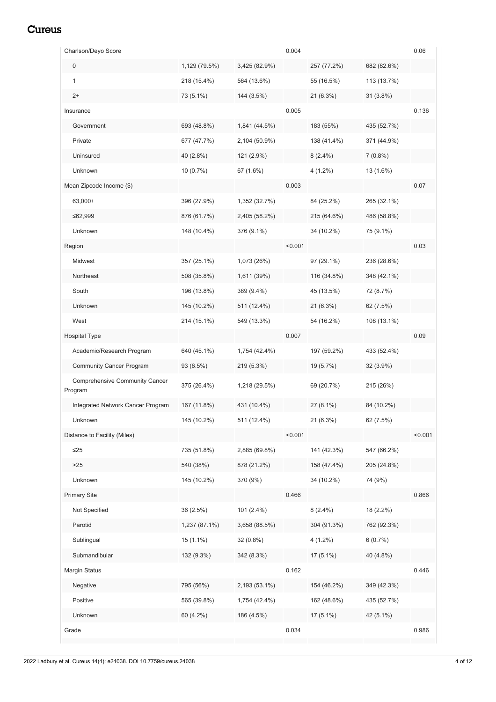<span id="page-3-0"></span>

| Charlson/Deyo Score                              |               |               | 0.004   |             |             | 0.06    |
|--------------------------------------------------|---------------|---------------|---------|-------------|-------------|---------|
| $\mathbf 0$                                      | 1,129 (79.5%) | 3,425 (82.9%) |         | 257 (77.2%) | 682 (82.6%) |         |
| 1                                                | 218 (15.4%)   | 564 (13.6%)   |         | 55 (16.5%)  | 113 (13.7%) |         |
| $2+$                                             | 73 (5.1%)     | 144 (3.5%)    |         | $21(6.3\%)$ | $31(3.8\%)$ |         |
| Insurance                                        |               |               | 0.005   |             |             | 0.136   |
| Government                                       | 693 (48.8%)   | 1,841 (44.5%) |         | 183 (55%)   | 435 (52.7%) |         |
| Private                                          | 677 (47.7%)   | 2,104 (50.9%) |         | 138 (41.4%) | 371 (44.9%) |         |
| Uninsured                                        | 40 (2.8%)     | 121 (2.9%)    |         | $8(2.4\%)$  | $7(0.8\%)$  |         |
| Unknown                                          | $10(0.7\%)$   | 67 (1.6%)     |         | $4(1.2\%)$  | 13 (1.6%)   |         |
| Mean Zipcode Income (\$)                         |               |               | 0.003   |             |             | 0.07    |
| 63,000+                                          | 396 (27.9%)   | 1,352 (32.7%) |         | 84 (25.2%)  | 265 (32.1%) |         |
| ≤62,999                                          | 876 (61.7%)   | 2,405 (58.2%) |         | 215 (64.6%) | 486 (58.8%) |         |
| Unknown                                          | 148 (10.4%)   | 376 (9.1%)    |         | 34 (10.2%)  | 75 (9.1%)   |         |
| Region                                           |               |               | < 0.001 |             |             | 0.03    |
| Midwest                                          | 357 (25.1%)   | 1,073 (26%)   |         | 97 (29.1%)  | 236 (28.6%) |         |
| Northeast                                        | 508 (35.8%)   | 1,611 (39%)   |         | 116 (34.8%) | 348 (42.1%) |         |
| South                                            | 196 (13.8%)   | 389 (9.4%)    |         | 45 (13.5%)  | 72 (8.7%)   |         |
| Unknown                                          | 145 (10.2%)   | 511 (12.4%)   |         | $21(6.3\%)$ | 62 (7.5%)   |         |
| West                                             | 214 (15.1%)   | 549 (13.3%)   |         | 54 (16.2%)  | 108 (13.1%) |         |
| <b>Hospital Type</b>                             |               |               | 0.007   |             |             | 0.09    |
| Academic/Research Program                        | 640 (45.1%)   | 1,754 (42.4%) |         | 197 (59.2%) | 433 (52.4%) |         |
| Community Cancer Program                         | 93 (6.5%)     | 219 (5.3%)    |         | 19 (5.7%)   | $32(3.9\%)$ |         |
| <b>Comprehensive Community Cancer</b><br>Program | 375 (26.4%)   | 1,218 (29.5%) |         | 69 (20.7%)  | 215 (26%)   |         |
| Integrated Network Cancer Program                | 167 (11.8%)   | 431 (10.4%)   |         | 27 (8.1%)   | 84 (10.2%)  |         |
| Unknown                                          | 145 (10.2%)   | 511 (12.4%)   |         | 21 (6.3%)   | 62 (7.5%)   |         |
| Distance to Facility (Miles)                     |               |               | < 0.001 |             |             | < 0.001 |
| $\leq$ 25                                        | 735 (51.8%)   | 2,885 (69.8%) |         | 141 (42.3%) | 547 (66.2%) |         |
| >25                                              | 540 (38%)     | 878 (21.2%)   |         | 158 (47.4%) | 205 (24.8%) |         |
| Unknown                                          | 145 (10.2%)   | 370 (9%)      |         | 34 (10.2%)  | 74 (9%)     |         |
| <b>Primary Site</b>                              |               |               | 0.466   |             |             | 0.866   |
| Not Specified                                    | 36 (2.5%)     | 101 (2.4%)    |         | $8(2.4\%)$  | 18 (2.2%)   |         |
| Parotid                                          | 1,237 (87.1%) | 3,658 (88.5%) |         | 304 (91.3%) | 762 (92.3%) |         |
| Sublingual                                       | $15(1.1\%)$   | 32 (0.8%)     |         | $4(1.2\%)$  | 6(0.7%)     |         |
| Submandibular                                    | 132 (9.3%)    | 342 (8.3%)    |         | 17 (5.1%)   | 40 (4.8%)   |         |
| Margin Status                                    |               |               | 0.162   |             |             | 0.446   |
| Negative                                         | 795 (56%)     | 2,193 (53.1%) |         | 154 (46.2%) | 349 (42.3%) |         |
| Positive                                         | 565 (39.8%)   | 1,754 (42.4%) |         | 162 (48.6%) | 435 (52.7%) |         |
| Unknown                                          | 60 (4.2%)     | 186 (4.5%)    |         | 17 (5.1%)   | 42 (5.1%)   |         |
| Grade                                            |               |               | 0.034   |             |             | 0.986   |
|                                                  |               |               |         |             |             |         |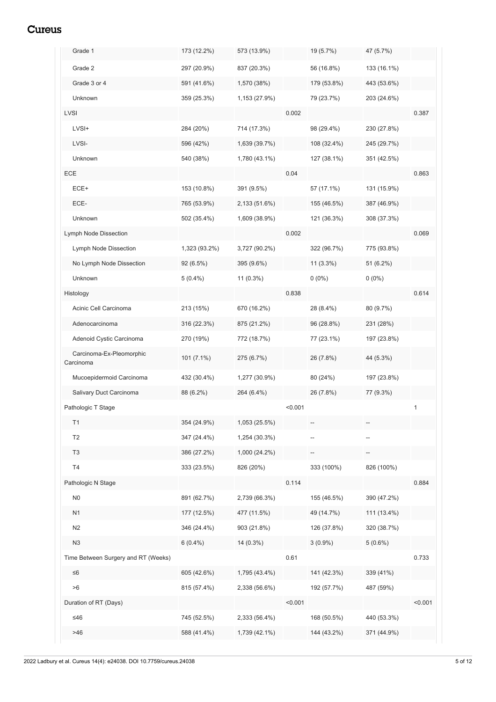| Grade 1                               | 173 (12.2%)   | 573 (13.9%)   |         | 19 (5.7%)   | 47 (5.7%)   |         |
|---------------------------------------|---------------|---------------|---------|-------------|-------------|---------|
| Grade 2                               | 297 (20.9%)   | 837 (20.3%)   |         | 56 (16.8%)  | 133 (16.1%) |         |
| Grade 3 or 4                          | 591 (41.6%)   | 1,570 (38%)   |         | 179 (53.8%) | 443 (53.6%) |         |
| Unknown                               | 359 (25.3%)   | 1,153 (27.9%) |         | 79 (23.7%)  | 203 (24.6%) |         |
| <b>LVSI</b>                           |               |               | 0.002   |             |             | 0.387   |
| LVSI+                                 | 284 (20%)     | 714 (17.3%)   |         | 98 (29.4%)  | 230 (27.8%) |         |
| LVSI-                                 | 596 (42%)     | 1,639 (39.7%) |         | 108 (32.4%) | 245 (29.7%) |         |
| Unknown                               | 540 (38%)     | 1,780 (43.1%) |         | 127 (38.1%) | 351 (42.5%) |         |
| ECE                                   |               |               | 0.04    |             |             | 0.863   |
| ECE+                                  | 153 (10.8%)   | 391 (9.5%)    |         | 57 (17.1%)  | 131 (15.9%) |         |
| ECE-                                  | 765 (53.9%)   | 2,133 (51.6%) |         | 155 (46.5%) | 387 (46.9%) |         |
| Unknown                               | 502 (35.4%)   | 1,609 (38.9%) |         | 121 (36.3%) | 308 (37.3%) |         |
| Lymph Node Dissection                 |               |               | 0.002   |             |             | 0.069   |
| Lymph Node Dissection                 | 1,323 (93.2%) | 3,727 (90.2%) |         | 322 (96.7%) | 775 (93.8%) |         |
| No Lymph Node Dissection              | 92 (6.5%)     | 395 (9.6%)    |         | $11(3.3\%)$ | $51(6.2\%)$ |         |
| Unknown                               | $5(0.4\%)$    | $11(0.3\%)$   |         | $0(0\%)$    | $0(0\%)$    |         |
| Histology                             |               |               | 0.838   |             |             | 0.614   |
| Acinic Cell Carcinoma                 | 213 (15%)     | 670 (16.2%)   |         | 28 (8.4%)   | 80 (9.7%)   |         |
| Adenocarcinoma                        | 316 (22.3%)   | 875 (21.2%)   |         | 96 (28.8%)  | 231 (28%)   |         |
| Adenoid Cystic Carcinoma              | 270 (19%)     | 772 (18.7%)   |         | 77 (23.1%)  | 197 (23.8%) |         |
| Carcinoma-Ex-Pleomorphic<br>Carcinoma | $101(7.1\%)$  | 275 (6.7%)    |         | 26 (7.8%)   | 44 (5.3%)   |         |
| Mucoepidermoid Carcinoma              | 432 (30.4%)   | 1,277 (30.9%) |         | 80 (24%)    | 197 (23.8%) |         |
| Salivary Duct Carcinoma               | 88 (6.2%)     | 264 (6.4%)    |         | 26 (7.8%)   | 77 (9.3%)   |         |
| Pathologic T Stage                    |               |               | < 0.001 |             |             | 1       |
| T1                                    | 354 (24.9%)   | 1,053 (25.5%) |         |             |             |         |
| T <sub>2</sub>                        | 347 (24.4%)   | 1,254 (30.3%) |         | --          |             |         |
| T <sub>3</sub>                        | 386 (27.2%)   | 1,000 (24.2%) |         |             |             |         |
| T4                                    | 333 (23.5%)   | 826 (20%)     |         | 333 (100%)  | 826 (100%)  |         |
| Pathologic N Stage                    |               |               | 0.114   |             |             | 0.884   |
| N <sub>0</sub>                        | 891 (62.7%)   | 2,739 (66.3%) |         | 155 (46.5%) | 390 (47.2%) |         |
| N1                                    | 177 (12.5%)   | 477 (11.5%)   |         | 49 (14.7%)  | 111 (13.4%) |         |
| N <sub>2</sub>                        | 346 (24.4%)   | 903 (21.8%)   |         | 126 (37.8%) | 320 (38.7%) |         |
| N3                                    | $6(0.4\%)$    | 14 (0.3%)     |         | $3(0.9\%)$  | $5(0.6\%)$  |         |
| Time Between Surgery and RT (Weeks)   |               |               | 0.61    |             |             | 0.733   |
| $\leq 6$                              | 605 (42.6%)   | 1,795 (43.4%) |         | 141 (42.3%) | 339 (41%)   |         |
| >6                                    | 815 (57.4%)   | 2,338 (56.6%) |         | 192 (57.7%) | 487 (59%)   |         |
| Duration of RT (Days)                 |               |               | < 0.001 |             |             | < 0.001 |
| ≤46                                   | 745 (52.5%)   | 2,333 (56.4%) |         | 168 (50.5%) | 440 (53.3%) |         |
| $>46$                                 | 588 (41.4%)   | 1,739 (42.1%) |         | 144 (43.2%) | 371 (44.9%) |         |
|                                       |               |               |         |             |             |         |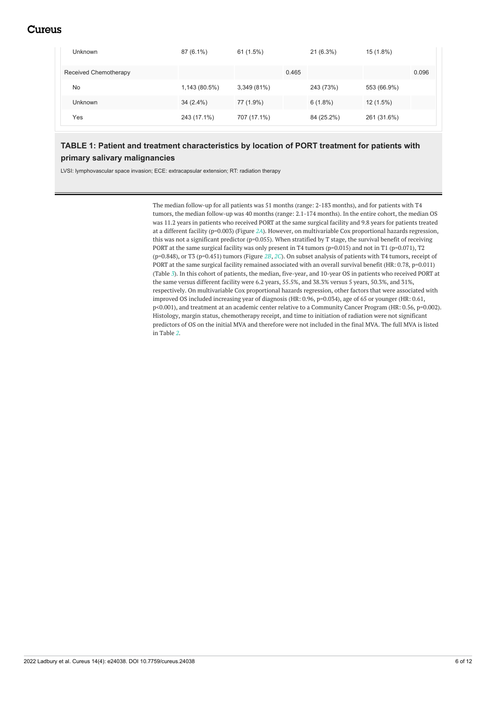| Unknown               | $87(6.1\%)$   | 61(1.5%)    |       | $21(6.3\%)$ | 15 (1.8%)   |       |
|-----------------------|---------------|-------------|-------|-------------|-------------|-------|
| Received Chemotherapy |               |             | 0.465 |             |             | 0.096 |
| No                    | 1,143 (80.5%) | 3,349(81%)  |       | 243 (73%)   | 553 (66.9%) |       |
| <b>Unknown</b>        | $34(2.4\%)$   | 77 (1.9%)   |       | $6(1.8\%)$  | $12(1.5\%)$ |       |
| Yes                   | 243 (17.1%)   | 707 (17.1%) |       | 84 (25.2%)  | 261 (31.6%) |       |

## **TABLE 1: Patient and treatment characteristics by location of PORT treatment for patients with primary salivary malignancies**

LVSI: lymphovascular space invasion; ECE: extracapsular extension; RT: radiation therapy

The median follow-up for all patients was 51 months (range: 2-183 months), and for patients with T4 tumors, the median follow-up was 40 months (range: 2.1-174 months). In the entire cohort, the median OS was 11.2 years in patients who received PORT at the same surgical facility and 9.8 years for patients treated at a different facility (p=0.003) (Figure *[2A](#page-6-0)*). However, on multivariable Cox proportional hazards regression, this was not a significant predictor (p=0.055). When stratified by T stage, the survival benefit of receiving PORT at the same surgical facility was only present in T4 tumors (p=0.015) and not in T1 (p=0.071), T2 (p=0.848), or T3 (p=0.451) tumors (Figure *[2B](#page-6-0)*, *[2C](#page-6-0)*). On subset analysis of patients with T4 tumors, receipt of PORT at the same surgical facility remained associated with an overall survival benefit (HR: 0.78, p=0.011) (Table *[3](#page-9-0)*). In this cohort of patients, the median, five-year, and 10-year OS in patients who received PORT at the same versus different facility were 6.2 years, 55.5%, and 38.3% versus 5 years, 50.3%, and 31%, respectively. On multivariable Cox proportional hazards regression, other factors that were associated with improved OS included increasing year of diagnosis (HR: 0.96, p=0.034), age of 65 or younger (HR: 0.61, p<0.001), and treatment at an academic center relative to a Community Cancer Program (HR: 0.56, p=0.002). Histology, margin status, chemotherapy receipt, and time to initiation of radiation were not significant predictors of OS on the initial MVA and therefore were not included in the final MVA. The full MVA is listed in Table *[2](#page-7-0)*.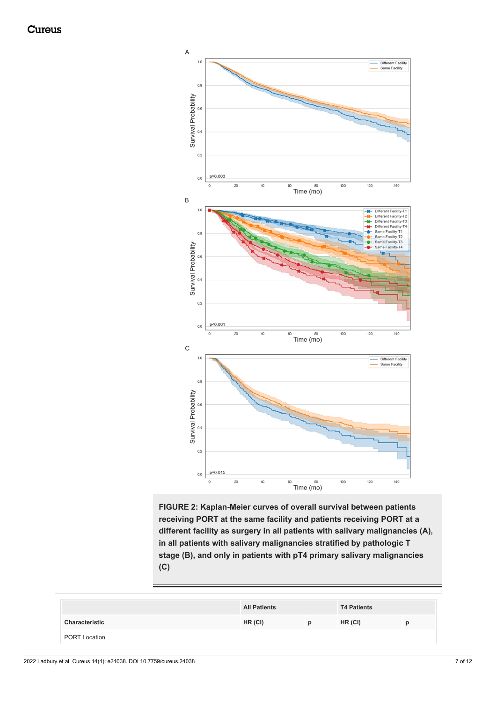<span id="page-6-0"></span>

**FIGURE 2: Kaplan-Meier curves of overall survival between patients receiving PORT at the same facility and patients receiving PORT at a different facility as surgery in all patients with salivary malignancies (A), in all patients with salivary malignancies stratified by pathologic T stage (B), and only in patients with pT4 primary salivary malignancies (C)**

|                      | <b>All Patients</b> |   | <b>T4 Patients</b> |   |
|----------------------|---------------------|---|--------------------|---|
| Characteristic       | HR (CI)             | D | HR (CI)            | р |
| <b>PORT Location</b> |                     |   |                    |   |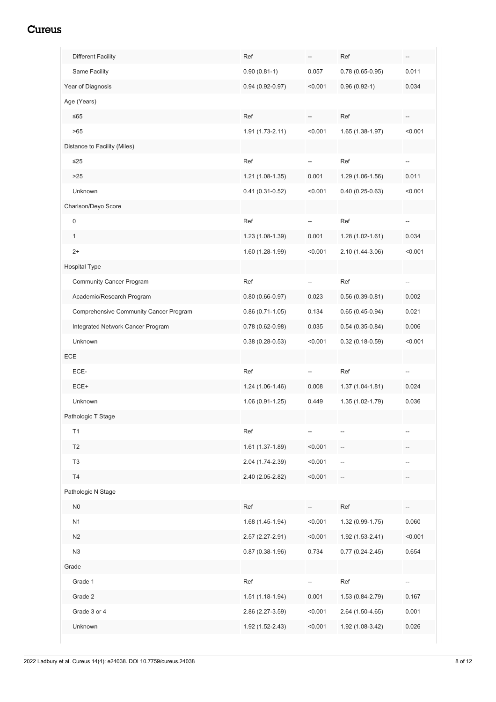<span id="page-7-0"></span>

| <b>Different Facility</b>              | Ref                 | $\hspace{0.05cm} -\hspace{0.05cm}$ | Ref                 | $\hspace{0.05cm} -\hspace{0.05cm}$ |
|----------------------------------------|---------------------|------------------------------------|---------------------|------------------------------------|
| Same Facility                          | $0.90(0.81-1)$      | 0.057                              | $0.78(0.65-0.95)$   | 0.011                              |
| Year of Diagnosis                      | $0.94(0.92 - 0.97)$ | < 0.001                            | $0.96(0.92-1)$      | 0.034                              |
| Age (Years)                            |                     |                                    |                     |                                    |
| $≤65$                                  | Ref                 |                                    | Ref                 |                                    |
| >65                                    | 1.91 (1.73-2.11)    | < 0.001                            | 1.65 (1.38-1.97)    | < 0.001                            |
| Distance to Facility (Miles)           |                     |                                    |                     |                                    |
| $\leq$ 25                              | Ref                 | $\overline{a}$                     | Ref                 | $\overline{a}$                     |
| $>25$                                  | 1.21 (1.08-1.35)    | 0.001                              | 1.29 (1.06-1.56)    | 0.011                              |
| Unknown                                | $0.41(0.31-0.52)$   | < 0.001                            | $0.40(0.25-0.63)$   | < 0.001                            |
| Charlson/Deyo Score                    |                     |                                    |                     |                                    |
| $\mathbf 0$                            | Ref                 | --                                 | Ref                 | $\overline{\phantom{a}}$           |
| $\mathbf{1}$                           | 1.23 (1.08-1.39)    | 0.001                              | $1.28(1.02 - 1.61)$ | 0.034                              |
| $2+$                                   | 1.60 (1.28-1.99)    | < 0.001                            | 2.10 (1.44-3.06)    | < 0.001                            |
| Hospital Type                          |                     |                                    |                     |                                    |
| <b>Community Cancer Program</b>        | Ref                 | --                                 | Ref                 | --                                 |
| Academic/Research Program              | $0.80(0.66 - 0.97)$ | 0.023                              | $0.56(0.39 - 0.81)$ | 0.002                              |
| Comprehensive Community Cancer Program | $0.86(0.71-1.05)$   | 0.134                              | $0.65(0.45-0.94)$   | 0.021                              |
| Integrated Network Cancer Program      | $0.78(0.62 - 0.98)$ | 0.035                              | $0.54(0.35-0.84)$   | 0.006                              |
| Unknown                                | $0.38(0.28-0.53)$   | < 0.001                            | $0.32(0.18-0.59)$   | < 0.001                            |
| ECE                                    |                     |                                    |                     |                                    |
| ECE-                                   | Ref                 | --                                 | Ref                 | $\overline{\phantom{a}}$           |
| ECE+                                   | $1.24(1.06-1.46)$   | 0.008                              | $1.37(1.04-1.81)$   | 0.024                              |
| Unknown                                | 1.06 (0.91-1.25)    | 0.449                              | 1.35 (1.02-1.79)    | 0.036                              |
| Pathologic T Stage                     |                     |                                    |                     |                                    |
| T1                                     | Ref                 | $\hspace{0.05cm} -\hspace{0.05cm}$ |                     |                                    |
| T2                                     | 1.61 (1.37-1.89)    | < 0.001                            |                     |                                    |
| T <sub>3</sub>                         | 2.04 (1.74-2.39)    | < 0.001                            |                     |                                    |
| T4                                     | 2.40 (2.05-2.82)    | < 0.001                            |                     |                                    |
| Pathologic N Stage                     |                     |                                    |                     |                                    |
| N <sub>0</sub>                         | Ref                 |                                    | Ref                 |                                    |
| N1                                     | 1.68 (1.45-1.94)    | < 0.001                            | 1.32 (0.99-1.75)    | 0.060                              |
| N <sub>2</sub>                         | 2.57 (2.27-2.91)    | < 0.001                            | 1.92 (1.53-2.41)    | < 0.001                            |
| N3                                     | $0.87(0.38-1.96)$   | 0.734                              | $0.77(0.24 - 2.45)$ | 0.654                              |
| Grade                                  |                     |                                    |                     |                                    |
| Grade 1                                | Ref                 |                                    | Ref                 |                                    |
| Grade 2                                | $1.51(1.18-1.94)$   | 0.001                              | 1.53 (0.84-2.79)    | 0.167                              |
| Grade 3 or 4                           | 2.86 (2.27-3.59)    | < 0.001                            | 2.64 (1.50-4.65)    | 0.001                              |
| Unknown                                | 1.92 (1.52-2.43)    | < 0.001                            | 1.92 (1.08-3.42)    | 0.026                              |
|                                        |                     |                                    |                     |                                    |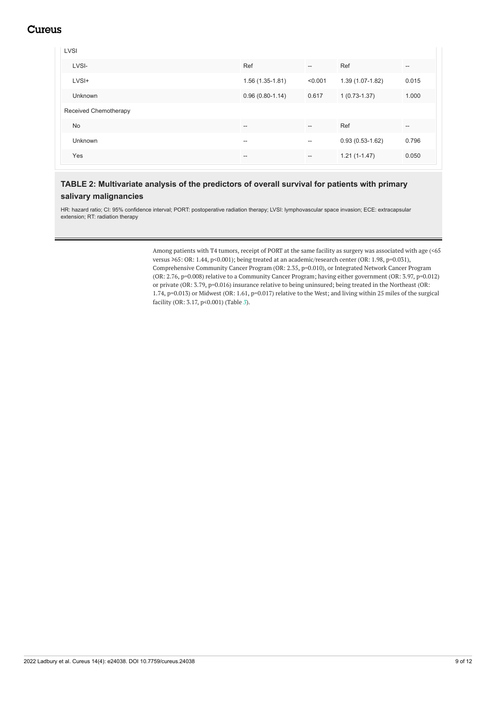LVSI LVSI- Ref -- Ref -- LVSI+ 1.56 (1.35-1.81) <0.001 1.39 (1.07-1.82) 0.015 Unknown 0.96 (0.80-1.14) 0.617 1 (0.73-1.37) 1.000 Received Chemotherapy No -- -- Ref -- Unknown -- -- 0.93 (0.53-1.62) 0.796 Yes -- -- 1.21 (1-1.47) 0.050

### **TABLE 2: Multivariate analysis of the predictors of overall survival for patients with primary salivary malignancies**

HR: hazard ratio; CI: 95% confidence interval; PORT: postoperative radiation therapy; LVSI: lymphovascular space invasion; ECE: extracapsular extension; RT: radiation therapy

> Among patients with T4 tumors, receipt of PORT at the same facility as surgery was associated with age (<65 versus ≥65: OR: 1.44, p<0.001); being treated at an academic/research center (OR: 1.98, p=0.031), Comprehensive Community Cancer Program (OR: 2.35, p=0.010), or Integrated Network Cancer Program (OR: 2.76, p=0.008) relative to a Community Cancer Program; having either government (OR: 3.97, p=0.012) or private (OR: 3.79, p=0.016) insurance relative to being uninsured; being treated in the Northeast (OR: 1.74, p=0.013) or Midwest (OR: 1.61, p=0.017) relative to the West; and living within 25 miles of the surgical facility (OR: 3.17, p<0.001) (Table *[3](#page-9-0)*).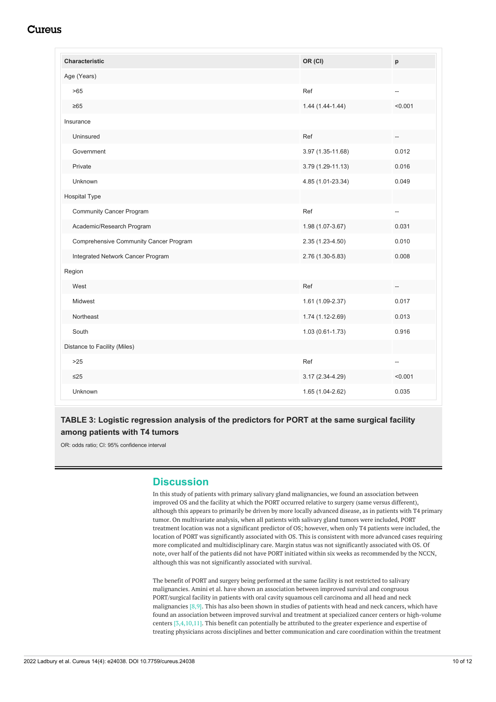<span id="page-9-0"></span>

| <b>Characteristic</b>                  | OR (CI)             | p       |
|----------------------------------------|---------------------|---------|
| Age (Years)                            |                     |         |
| >65                                    | Ref                 |         |
| $\geq 65$                              | $1.44(1.44-1.44)$   | < 0.001 |
| Insurance                              |                     |         |
| Uninsured                              | Ref                 |         |
| Government                             | 3.97 (1.35-11.68)   | 0.012   |
| Private                                | 3.79 (1.29-11.13)   | 0.016   |
| Unknown                                | 4.85 (1.01-23.34)   | 0.049   |
| Hospital Type                          |                     |         |
| <b>Community Cancer Program</b>        | Ref                 | --      |
| Academic/Research Program              | 1.98 (1.07-3.67)    | 0.031   |
| Comprehensive Community Cancer Program | 2.35 (1.23-4.50)    | 0.010   |
| Integrated Network Cancer Program      | 2.76 (1.30-5.83)    | 0.008   |
| Region                                 |                     |         |
| West                                   | Ref                 |         |
| Midwest                                | 1.61 (1.09-2.37)    | 0.017   |
| Northeast                              | 1.74 (1.12-2.69)    | 0.013   |
| South                                  | $1.03(0.61 - 1.73)$ | 0.916   |
| Distance to Facility (Miles)           |                     |         |
| $>25$                                  | Ref                 | --      |
| $\leq$ 25                              | 3.17 (2.34-4.29)    | < 0.001 |
| Unknown                                | 1.65 (1.04-2.62)    | 0.035   |

## **TABLE 3: Logistic regression analysis of the predictors for PORT at the same surgical facility among patients with T4 tumors**

OR: odds ratio; CI: 95% confidence interval

## **Discussion**

In this study of patients with primary salivary gland malignancies, we found an association between improved OS and the facility at which the PORT occurred relative to surgery (same versus different), although this appears to primarily be driven by more locally advanced disease, as in patients with T4 primary tumor. On multivariate analysis, when all patients with salivary gland tumors were included, PORT treatment location was not a significant predictor of OS; however, when only T4 patients were included, the location of PORT was significantly associated with OS. This is consistent with more advanced cases requiring more complicated and multidisciplinary care. Margin status was not significantly associated with OS. Of note, over half of the patients did not have PORT initiated within six weeks as recommended by the NCCN, although this was not significantly associated with survival.

The benefit of PORT and surgery being performed at the same facility is not restricted to salivary malignancies. Amini et al. have shown an association between improved survival and congruous PORT/surgical facility in patients with oral cavity squamous cell carcinoma and all head and neck malignancies [8,9]. This has also been shown in studies of patients with head and neck cancers, which have found an association between improved survival and treatment at specialized cancer centers or high-volume centers [3,4,10,11]. This benefit can potentially be attributed to the greater experience and expertise of treating physicians across disciplines and better communication and care coordination within the treatment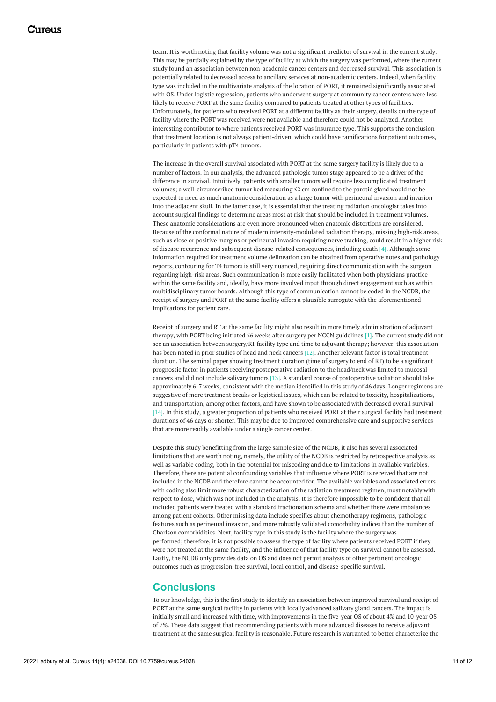team. It is worth noting that facility volume was not a significant predictor of survival in the current study. This may be partially explained by the type of facility at which the surgery was performed, where the current study found an association between non-academic cancer centers and decreased survival. This association is potentially related to decreased access to ancillary services at non-academic centers. Indeed, when facility type was included in the multivariate analysis of the location of PORT, it remained significantly associated with OS. Under logistic regression, patients who underwent surgery at community cancer centers were less likely to receive PORT at the same facility compared to patients treated at other types of facilities. Unfortunately, for patients who received PORT at a different facility as their surgery, details on the type of facility where the PORT was received were not available and therefore could not be analyzed. Another interesting contributor to where patients received PORT was insurance type. This supports the conclusion that treatment location is not always patient-driven, which could have ramifications for patient outcomes, particularly in patients with pT4 tumors.

The increase in the overall survival associated with PORT at the same surgery facility is likely due to a number of factors. In our analysis, the advanced pathologic tumor stage appeared to be a driver of the difference in survival. Intuitively, patients with smaller tumors will require less complicated treatment volumes; a well-circumscribed tumor bed measuring ≤2 cm confined to the parotid gland would not be expected to need as much anatomic consideration as a large tumor with perineural invasion and invasion into the adjacent skull. In the latter case, it is essential that the treating radiation oncologist takes into account surgical findings to determine areas most at risk that should be included in treatment volumes. These anatomic considerations are even more pronounced when anatomic distortions are considered. Because of the conformal nature of modern intensity-modulated radiation therapy, missing high-risk areas, such as close or positive margins or perineural invasion requiring nerve tracking, could result in a higher risk of disease recurrence and subsequent disease-related consequences, including death [4]. Although some information required for treatment volume delineation can be obtained from operative notes and pathology reports, contouring for T4 tumors is still very nuanced, requiring direct communication with the surgeon regarding high-risk areas. Such communication is more easily facilitated when both physicians practice within the same facility and, ideally, have more involved input through direct engagement such as within multidisciplinary tumor boards. Although this type of communication cannot be coded in the NCDB, the receipt of surgery and PORT at the same facility offers a plausible surrogate with the aforementioned implications for patient care.

Receipt of surgery and RT at the same facility might also result in more timely administration of adjuvant therapy, with PORT being initiated ≤6 weeks after surgery per NCCN guidelines [1]. The current study did not see an association between surgery/RT facility type and time to adjuvant therapy; however, this association has been noted in prior studies of head and neck cancers [12]. Another relevant factor is total treatment duration. The seminal paper showing treatment duration (time of surgery to end of RT) to be a significant prognostic factor in patients receiving postoperative radiation to the head/neck was limited to mucosal cancers and did not include salivary tumors [13]. A standard course of postoperative radiation should take approximately 6-7 weeks, consistent with the median identified in this study of 46 days. Longer regimens are suggestive of more treatment breaks or logistical issues, which can be related to toxicity, hospitalizations, and transportation, among other factors, and have shown to be associated with decreased overall survival [14]. In this study, a greater proportion of patients who received PORT at their surgical facility had treatment durations of 46 days or shorter. This may be due to improved comprehensive care and supportive services that are more readily available under a single cancer center.

Despite this study benefitting from the large sample size of the NCDB, it also has several associated limitations that are worth noting, namely, the utility of the NCDB is restricted by retrospective analysis as well as variable coding, both in the potential for miscoding and due to limitations in available variables. Therefore, there are potential confounding variables that influence where PORT is received that are not included in the NCDB and therefore cannot be accounted for. The available variables and associated errors with coding also limit more robust characterization of the radiation treatment regimen, most notably with respect to dose, which was not included in the analysis. It is therefore impossible to be confident that all included patients were treated with a standard fractionation schema and whether there were imbalances among patient cohorts. Other missing data include specifics about chemotherapy regimens, pathologic features such as perineural invasion, and more robustly validated comorbidity indices than the number of Charlson comorbidities. Next, facility type in this study is the facility where the surgery was performed; therefore, it is not possible to assess the type of facility where patients received PORT if they were not treated at the same facility, and the influence of that facility type on survival cannot be assessed. Lastly, the NCDB only provides data on OS and does not permit analysis of other pertinent oncologic outcomes such as progression-free survival, local control, and disease-specific survival.

## **Conclusions**

To our knowledge, this is the first study to identify an association between improved survival and receipt of PORT at the same surgical facility in patients with locally advanced salivary gland cancers. The impact is initially small and increased with time, with improvements in the five-year OS of about 4% and 10-year OS of 7%. These data suggest that recommending patients with more advanced diseases to receive adjuvant treatment at the same surgical facility is reasonable. Future research is warranted to better characterize the